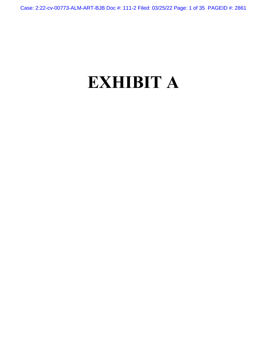Case: 2:22-cv-00773-ALM-ART-BJB Doc #: 111-2 Filed: 03/25/22 Page: 1 of 35 PAGEID #: 2861

# **EXHIBIT A**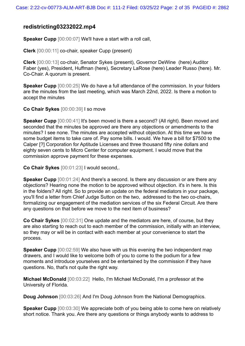# **redistricting03232022.mp4**

**Speaker Cupp** [00:00:07] We'll have a start with a roll call,

**Clerk** [00:00:11] co-chair, speaker Cupp (present)

**Clerk** [00:00:13] co-chair, Senator Sykes (present), Governor DeWine (here) Auditor Faber (yes), President, Huffman (here), Secretary LaRose (here) Leader Russo (here). Mr. Co-Chair. A quorum is present.

**Speaker Cupp** [00:00:25] We do have a full attendance of the commission. In your folders are the minutes from the last meeting, which was March 22nd, 2022. Is there a motion to accept the minutes

**Co Chair Sykes** [00:00:39] I so move

**Speaker Cupp** [00:00:41] It's been moved is there a second? (All right). Been moved and seconded that the minutes be approved are there any objections or amendments to the minutes? I see none. The minutes are accepted without objection. At this time we have some budget items to take care of. Pay some bills. I would. We have a bill for \$7500 to the Calper [?] Corporation for Aptitude Licenses and three thousand fifty nine dollars and eighty seven cents to Micro Center for computer equipment. I would move that the commission approve payment for these expenses.

**Co Chair Sykes** [00:01:23] I would second,.

**Speaker Cupp** [00:01:24] And there's a second. Is there any discussion or are there any objections? Hearing none the motion to be approved without objection. it's in here. Is this in the folders? All right. So to provide an update on the federal mediators in your package, you'll find a letter from Chief Judge Sutton on the two, addressed to the two co-chairs, formalizing our engagement of the mediation services of the six Federal Circuit. Are there any questions on that before we move to the next item of business?

**Co Chair Sykes** [00:02:31] One update and the mediators are here, of course, but they are also starting to reach out to each member of the commission, initially with an interview, so they may or will be in contact with each member at your convenience to start the process.

**Speaker Cupp** [00:02:59] We also have with us this evening the two independent map drawers, and I would like to welcome both of you to come to the podium for a few moments and introduce yourselves and be entertained by the commission if they have questions. No, that's not quite the right way.

**Michael McDonald** [00:03:22] Hello, I'm Michael McDonald, I'm a professor at the University of Florida.

**Doug Johnson** [00:03:26] And I'm Doug Johnson from the National Demographics.

**Speaker Cupp** [00:03:30] We appreciate both of you being able to come here on relatively short notice. Thank you. Are there any questions or things anybody wants to address to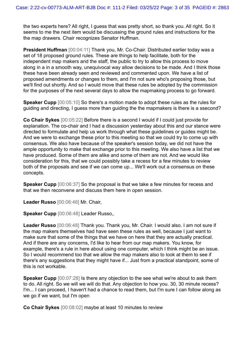the two experts here? All right, I guess that was pretty short, so thank you. All right. So it seems to me the next item would be discussing the ground rules and instructions for the the map drawers. Chair recognizes Senator Huffman.

**President Huffman** [00:04:11] Thank you, Mr. Co-Chair. Distributed earlier today was a set of 18 proposed ground rules. These are things to help facilitate, both for the independent map makers and the staff, the public to try to allow this process to move along in a in a smooth way, unequivocal way allow decisions to be made. And I think those these have been already seen and reviewed and commented upon. We have a list of proposed amendments or changes to them, and I'm not sure who's proposing those, but we'll find out shortly. And so I would move that these rules be adopted by the commission for the purposes of the next several days to allow the mapmaking process to go forward.

**Speaker Cupp** [00:05:10] So there's a motion made to adopt these rules as the rules for guiding and directing, I guess more than guiding the the mapmakers is there is a ssecond?

**Co Chair Sykes** [00:05:22] Before there is a second I would if I could just provide for explanation. The co-chair and I had a discussion yesterday about this and our stance were directed to formulate and help us work through what these guidelines or guides might be. And we were to exchange these prior to this meeting so that we could try to come up with consensus. We also have because of the speaker's session today, we did not have the ample opportunity to make that exchange prior to this meeting. We also have a list that we have produced. Some of them are alike and some of them are not. And we would like consideration for this, that we could possibly take a recess for a few minutes to review both of the proposals and see if we can come up... We'll work out a consensus on these concepts.

**Speaker Cupp** [00:06:37] So the proposal is that we take a few minutes for recess and that we then reconvene and discuss them here in open session.

**Leader Russo** [00:06:46] Mr. Chair,

**Speaker Cupp** [00:06:48] Leader Russo,.

**Leader Russo** [00:06:48] Thank you. Thank you, Mr. Chair. I would also. I am not sure if the map makers themselves had have seen these rules as well, because I just want to make sure that some of the things that we have on here that they are actually practical. And if there are any concerns, I'd like to hear from our map makers. You know, for example, there's a rule in here about using one computer, which I think might be an issue. So I would recommend too that we allow the map makers also to look at them to see if there's any suggestions that they might have if... Just from a practical standpoint, some of this is not workable.

**Speaker Cupp** [00:07:28] Is there any objection to the see what we're about to ask them to do. All right. So we will we will do that. Any objection to how you. 30, 30 minute recess? I'm... I can proceed, I haven't had a chance to read them, but I'm sure I can follow along as we go if we want, but I'm open

**Co Chair Sykes** [00:08:02] maybe at least 10 minutes to review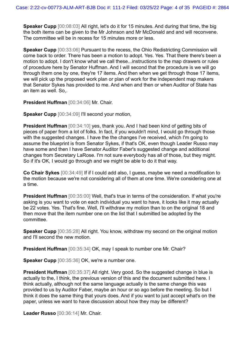**Speaker Cupp** [00:08:03] All right, let's do it for 15 minutes. And during that time, the big the both items can be given to the Mr Johnson and Mr McDonald and and will reconvene. The committee will be in recess for 15 minutes more or less.

**Speaker Cupp** [00:33:06] Pursuant to the recess, the Ohio Redistricting Commission will come back to order. There has been a motion to adopt. Yes. Yes. That there there's been a motion to adopt. I don't know what we call these...instructions to the map drawers or rules of procedure here by Senator Huffman. And I will second that the procedure is we will go through them one by one, they're 17 items. And then when we get through those 17 items, we will pick up the proposed work plan or plan of work for the independent map makers that Senator Sykes has provided to me. And when and then or when Auditor of State has an item as well. So,.

**President Huffman** [00:34:06] Mr. Chair.

**Speaker Cupp** [00:34:09] I'll second your motion,

**President Huffman** [00:34:10] yes, thank you. And I had been kind of getting bits of pieces of paper from a lot of folks. In fact, if you wouldn't mind, I would go through those with the suggested changes. I have the the changes I've received, which I'm going to assume the blueprint is from Senator Sykes, if that's OK, even though Leader Russo may have some and then I have Senator Auditor Faber's suggested change and additional changes from Secretary LaRose. I'm not sure everybody has all of those, but they might. So if it's OK, I would go through and we might be able to do it that way.

**Co Chair Sykes** [00:34:49] If if I could add also, I guess, maybe we need a modification to the motion because we're not considering all of them at one time. We're considering one at a time.

**President Huffman** [00:35:00] Well, that's true in terms of the consideration. If what you're asking is you want to vote on each individual you want to have, it looks like it may actually be 22 votes. Yes. That's fine. Well, I'll withdraw my motion than to on the original 18 and then move that the item number one on the list that I submitted be adopted by the committee.

**Speaker Cupp** [00:35:28] All right. You know, withdraw my second on the original motion and I'll second the new motion.

**President Huffman** [00:35:34] OK, may I speak to number one Mr. Chair?

**Speaker Cupp** [00:35:36] OK, we're a number one.

**President Huffman** [00:35:37] All right. Very good. So the suggested change in blue is actually to the, I think, the previous version of this and the document submitted here. I think actually, although not the same language actually is the same change this was provided to us by Auditor Faber, maybe an hour or so ago before the meeting. So but I think it does the same thing that yours does. And if you want to just accept what's on the paper, unless we want to have discussion about how they may be different?

**Leader Russo** [00:36:14] Mr. Chair.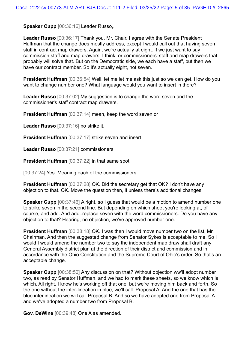**Speaker Cupp** [00:36:16] Leader Russo,.

**Leader Russo** [00:36:17] Thank you, Mr. Chair. I agree with the Senate President Huffman that the change does mostly address, except I would call out that having seven staff in contract map drawers. Again, we're actually at eight. If we just want to say commission staff and map drawers, I think, or commissioners' staff and map drawers that probably will solve that. But on the Democratic side, we each have a staff, but then we have our contract member. So it's actually eight, not seven.

**President Huffman** [00:36:54] Well, let me let me ask this just so we can get. How do you want to change number one? What language would you want to insert in there?

**Leader Russo** [00:37:02] My suggestion is to change the word seven and the commissioner's staff contract map drawers.

**President Huffman** [00:37:14] mean, keep the word seven or

**Leader Russo** [00:37:16] no strike it,

**President Huffman** [00:37:17] strike seven and insert

**Leader Russo** [00:37:21] commissioners

**President Huffman** [00:37:22] in that same spot.

[00:37:24] Yes. Meaning each of the commissioners.

**President Huffman** [00:37:28] OK. Did the secretary get that OK? I don't have any objection to that. OK. Move the question then, if unless there's additional changes

**Speaker Cupp** [00:37:46] Alright, so I guess that would be a motion to amend number one to strike seven in the second line. But depending on which sheet you're looking at, of course, and add. And add..replace seven with the word commissioners. Do you have any objection to that? Hearing, no objection, we've approved number one.

**President Huffman** [00:38:18] OK. I was then I would move number two on the list, Mr. Chairman. And then the suggested change from Senator Sykes is acceptable to me. So I would I would amend the number two to say the independent map draw shall draft any General Assembly district plan at the direction of their district and commission and in accordance with the Ohio Constitution and the Supreme Court of Ohio's order. So that's an acceptable change.

**Speaker Cupp** [00:38:50] Any discussion on that? Without objection ww'll adopt number two, as read by Senator Huffman, and we had to mark these sheets, so we know which is which. All right. I know he's working off that one, but we're moving him back and forth. So the one without the inter-lineation in blue, we'll call. Proposal A. And the one that has the blue interlineation we will call Proposal B. And so we have adopted one from Proposal A and we've adopted a number two from Proposal B.

**Gov. DeWine** [00:39:48] One A as amended.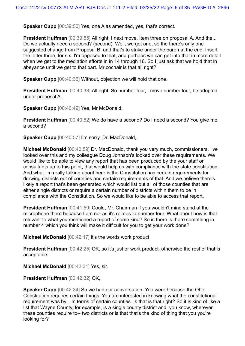**Speaker Cupp** [00:39:50] Yes, one A as amended, yes, that's correct.

**President Huffman** [00:39:55] All right. I next move. Item three on proposal A. And the... Do we actually need a second? (second). Well, we got one, so the there's only one suggested change from Proposal B, and that's to strike under the paren at the end. Insert the letter three, for six. I'm opposed to that, and perhaps we can get into that in more detail when we get to the mediation efforts in in 14 through 16. So I just ask that we hold that in abeyance until we get to that part. Mr cochair is that all right?

**Speaker Cupp** [00:40:36] Without, objection we will hold that one.

**President Huffman** [00:40:38] All right. So number four, I move number four, be adopted under proposal A.

**Speaker Cupp** [00:40:49] Yes, Mr McDonald.

**President Huffman** [00:40:52] We do have a second? Do I need a second? You give me a second?

**Speaker Cupp** [00:40:57] I'm sorry, Dr. MacDonald,.

**Michael McDonald** [00:40:59] Dr. MacDonald, thank you very much, commissioners. I've looked over this and my colleague Doug Johnson's looked over these requirements. We would like to be able to view any report that has been produced by the your staff or consultants up to this point, that would help us with compliance with the state constitution. And what I'm really talking about here is the Constitution has certain requirements for drawing districts out of counties and certain requirements of that. And we believe there's likely a report that's been generated which would list out all of those counties that are either single districts or require a certain number of districts within them to be in compliance with the Constitution. So we would like to be able to access that report.

**President Huffman** [00:41:59] Could, Mr. Chairman if you wouldn't mind stand at the microphone there because I am not as it's relates to number four. What about how is that relevant to what you mentioned a report of some kind? So is there is there something in number 4 which you think will make it difficult for you to get your work done?

**Michael McDonald** [00:42:17] it's the words work product

**President Huffman** [00:42:25] OK, so it's just or work product, otherwise the rest of that is acceptable.

**Michael McDonald** [00:42:31] Yes, sir.

**President Huffman** [00:42:32] OK,.

**Speaker Cupp** [00:42:34] So we had our conversation. You were because the Ohio Constitution requires certain things. You are interested in knowing what the constitutional requirement was by... In terms of certain counties. Is that is that right? So it is kind of like a list that Wayne County, for example, is a single county district and, you know, wherever these counties require to-- two districts or is that that's the kind of thing that you you're looking for?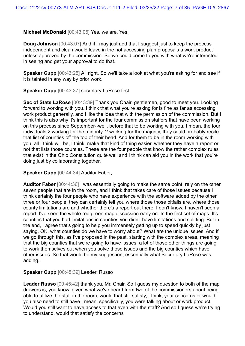**Michael McDonald** [00:43:05] Yes, we are. Yes.

**Doug Johnson** [00:43:07] And if I may just add that I suggest just to keep the process independent and clean would leave in the not accessing plan proposals a work product unless approved by the commission. So we could come to you with what we're interested in seeing and get your approval to do that.

**Speaker Cupp** [00:43:25] All right. So we'll take a look at what you're asking for and see if it is tainted in any way by prior work.

**Speaker Cupp** [00:43:37] secretary LaRose first

**Sec of State LaRose** [00:43:39] Thank you Chair, gentlemen, good to meet you. Looking forward to working with you. I think that what you're asking for is fine as far as accessing work product generally, and I like the idea that with the permission of the commission. But I think this is also why it's important for the four commission staffers that have been working on this process since September--well, before that to be working with you, I mean, the four individuals 2 working for the minority, 2 working for the majority, they could probably recite that list of counties off the top of their head. And for them to be in the room working with you, all I think will be, I think, make that kind of thing easier, whether they have a report or not that lists those counties. These are the four people that know the rather complex rules that exist in the Ohio Constitution quite well and I think can aid you in the work that you're doing just by collaborating together.

**Speaker Cupp** [00:44:34] Auditor Faber,

**Auditor Faber** [00:44:36] I was essentially going to make the same point, rely on the other seven people that are in the room, and I think that takes care of those issues because I think certainly the four people who have experience with the software added by the other three or four people, they can certainly tell you where those those pitfalls are, where those county limitations are and whether there's a report out there. I don't know. I haven't seen a report. I've seen the whole red green map discussion early on. In the first set of maps. It's counties that you had limitations in counties you didn't have limitations and splitting. But in the end, I agree that's going to help you immensely getting up to speed quickly by just saying, OK, what counties do we have to worry about? What are the unique issues. And if we go through this, as I've proposed in the past, starting with the complex areas, meaning that the big counties that we're going to have issues, a lot of those other things are going to work themselves out when you solve those issues and the big counties which have other issues. So that would be my suggestion, essentially what Secretary LaRose was adding.

## **Speaker Cupp** [00:45:39] Leader, Russo

**Leader Russo** [00:45:42] thank you, Mr. Chair. So I guess my question to both of the map drawers is, you know, given what we've heard from two of the commissioners about being able to utilize the staff in the room, would that still satisfy, I think, your concerns or would you also need to still have I mean, specifically, you were talking about or work product. Would you still want to have access to that even with the staff? And so I guess we're trying to understand, would that satisfy the concerns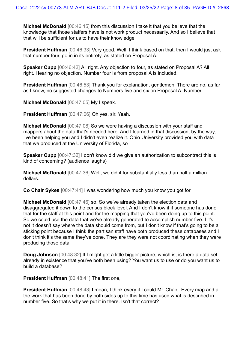**Michael McDonald** [00:46:15] from this discussion I take it that you believe that the knowledge that those staffers have is not work product necessarily. And so I believe that that will be sufficient for us to have their knowledge

**President Huffman** [00:46:33] Very good. Well, I think based on that, then I would just ask that number four, go in in its entirety, as stated on Proposal A.

**Speaker Cupp** [00:46:42] All right. Any objection to four, as stated on Proposal A? All right. Hearing no objection. Number four is from proposal A is included.

**President Huffman** [00:46:53] Thank you for explanation, gentlemen. There are no, as far as I know, no suggested changes to Numbers five and six on Proposal A. Number.

**Michael McDonald** [00:47:05] My I speak.

**President Huffman** [00:47:06] Oh yes, sir. Yeah.

**Michael McDonald** [00:47:08] So we were having a discussion with your staff and mappers about the data that's needed here. And I learned in that discussion, by the way, I've been helping you and I didn't even realize it. Ohio University provided you with data that we produced at the University of Florida, so

**Speaker Cupp** [00:47:32] I don't know did we give an authorization to subcontract this is kind of concerning? (audience laughs)

**Michael McDonald** [00:47:36] Well, we did it for substantially less than half a million dollars.

**Co Chair Sykes** [00:47:41] I was wondering how much you know you got for

**Michael McDonald** [00:47:46] so. So we've already taken the election data and disaggregated it down to the census block level. And I don't know if if someone has done that for the staff at this point and for the mapping that you've been doing up to this point. So we could use the data that we've already generated to accomplish number five. I it's not it doesn't say where the data should come from, but I don't know if that's going to be a sticking point because I think the partisan staff have both produced these databases and I don't think it's the same they've done. They are they were not coordinating when they were producing those data.

**Doug Johnson** [00:48:32] If I might get a little bigger picture, which is, is there a data set already in existence that you've both been using? You want us to use or do you want us to build a database?

**President Huffman** [00:48:41] The first one,

**President Huffman** [00:48:43] I mean, I think every if I could Mr. Chair, Every map and all the work that has been done by both sides up to this time has used what is described in number five. So that's why we put it in there. Isn't that correct?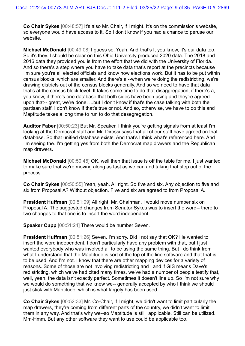**Co Chair Sykes** [00:48:57] It's also Mr. Chair, if I might. It's on the commission's website, so everyone would have access to it. So I don't know if you had a chance to peruse our website.

**Michael McDonald** [00:49:08] I guess so. Yeah. And that's I, you know, it's our data too. So it's they. I should be clear on this Ohio University produced 2020 data. The 2018 and 2016 data they provided you is from the effort that we did with the University of Florida. And so there's a step where you have to take data that's report at the precincts because I'm sure you're all elected officials and know how elections work. But it has to be put within census blocks, which are smaller. And there's a --when we're doing the redistricting, we're drawing districts out of the census blocks generally. And so we need to have that data that's at the census block level. It takes some time to do that disaggregation, if there's a, you know, if there's one database that both sides have been using and they're agreed upon that-- great, we're done. ...but I don't know if that's the case talking with both the partisan staff, I don't know if that's true or not. And so, otherwise, we have to do this and Maptitude takes a long time to run to do that desegregation.

**Auditor Faber** [00:50:23] But Mr. Speaker, I think you're getting signals from at least I'm looking at the Democrat staff and Mr. Dirossi says that all of our staff have agreed on that database. So that unified database exists. And that's I think what's referenced here. And I'm seeing the. I'm getting yes from both the Democrat map drawers and the Republican map drawers.

**Michael McDonald** [00:50:45] OK, well then that issue is off the table for me. I just wanted to make sure that we're moving along as fast as we can and taking that step out of the process.

**Co Chair Sykes** [00:50:55] Yeah, yeah. All right. So five and six. Any objection to five and six from Proposal A? Without objection. Five and six are agreed to from Proposal A.

**President Huffman** [00:51:09] All right. Mr. Chairman, I would move number six on Proposal A. The suggested changes from Senator Sykes was to insert the word-- there to two changes to that one is to insert the word independent.

**Speaker Cupp** [00:51:24] There would be number Seven.

**President Huffman** [00:51:26] Seven. I'm sorry. Did I not say that OK? He wanted to insert the word independent. I don't particularly have any problem with that, but I just wanted everybody who was involved all to be using the same thing. But I do think from what I understand that the Maptitude is sort of the top of the line software and that that is to be used. And I'm not. I know that there are other mapping devices for a variety of reasons. Some of those are not involving redistricting and I and if GIS means Dave's redistricting, which we've had cited many times, we've had a number of people testify that, well, yeah, the data isn't exactly perfect. Sometimes it doesn't line up. So I'm not sure why we would do something that we knew we-- generally accepted by who I think we should just stick with Maptitude, which is what largely has been used.

**Co Chair Sykes** [00:52:33] Mr. Co-Chair, if I might, we didn't want to limit particularly the map drawers, they're coming from different parts of the country, we didn't want to limit them in any way. And that's why we--so Maptitude is still applicable. Still can be utilized. Mm-Hmm. But any other software they want to use could be applicable too.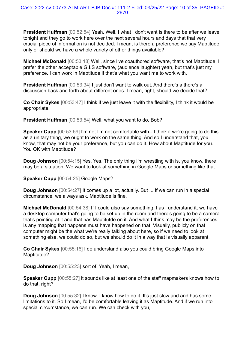**President Huffman** [00:52:54] Yeah. Well, I what I don't want is there to be after we leave tonight and they go to work here over the next several hours and days that that very crucial piece of information is not decided. I mean, is there a preference we say Maptitude only or should we have a whole variety of other things available?

**Michael McDonald** [00:53:18] Well, since I've coauthored software, that's not Maptitude, I prefer the other acceptable G.I.S software, (audience laughter) yeah, but that's just my preference. I can work in Maptitude if that's what you want me to work with.

**President Huffman** [00:53:34] I just don't want to walk out. And there's a there's a discussion back and forth about different ones. I mean, right, should we decide that?

**Co Chair Sykes** [00:53:47] I think if we just leave it with the flexibility, I think it would be appropriate.

**President Huffman** [00:53:54] Well, what you want to do, Bob?

**Speaker Cupp** [00:53:59] I'm not I'm not comfortable with-- I think if we're going to do this as a unitary thing, we ought to work on the same thing. And so I understand that, you know, that may not be your preference, but you can do it. How about Maptitude for you. You OK with Maptitude?

**Doug Johnson** [00:54:15] Yes. Yes. The only thing I'm wrestling with is, you know, there may be a situation. We want to look at something in Google Maps or something like that.

**Speaker Cupp** [00:54:25] Google Maps?

**Doug Johnson** [00:54:27] It comes up a lot, actually. But ... If we can run in a special circumstance, we always ask. Maptitude is fine.

**Michael McDonald** [00:54:38] If I could also say something, I as I understand it, we have a desktop computer that's going to be set up in the room and there's going to be a camera that's pointing at it and that has Maptitutde on it. And what I think may be the preferences is any mapping that happens must have happened on that. Visually, publicly on that computer might be the what we're really talking about here, so if we need to look at something else, we could do so, but we should do it in a way that is visually apparent.

**Co Chair Sykes** [00:55:16] I do understand also you could bring Google Maps into Maptitutde?

**Doug Johnson** [00:55:23] sort of. Yeah, I mean,

**Speaker Cupp** [00:55:27] it sounds like at least one of the staff mapmakers knows how to do that, right?

**Doug Johnson** [00:55:32] I know, I know how to do it. It's just slow and and has some limitations to it. So I mean, I'd be comfortable leaving it as Maptitude. And if we run into special circumstance, we can run. We can check with you,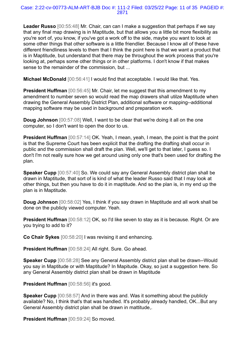**Leader Russo** [00:55:48] Mr. Chair, can can I make a suggestion that perhaps if we say that any final map drawing is in Maptitude, but that allows you a little bit more flexibility as you're sort of, you know, if you've got a work off to the side, maybe you want to look at some other things that other software is a little friendlier. Because I know all of these have different friendliness levels to them that I think the point here is that we want a product that is in Maptitude, but understand that there may be throughout the work process that you're looking at, perhaps some other things or in other platforms. I don't know if that makes sense to the remainder of the commission, but ...

**Michael McDonald** [00:56:41] I would find that acceptable. I would like that. Yes.

**President Huffman** [00:56:45] Mr. Chair, let me suggest that this amendment to my amendment to number seven so would read the map drawers shall utilze Maptitude when drawing the General Assembly District Plan, additional software or mapping--additional mapping software may be used in background and preparation work.

**Doug Johnson** [00:57:08] Well, I want to be clear that we're doing it all on the one computer, so I don't want to open the door to us.

**President Huffman** [00:57:14] OK. Yeah, I mean, yeah, I mean, the point is that the point is that the Supreme Court has been explicit that the drafting the drafting shall occur in public and the commission shall draft the plan. Well, we'll get to that later, I guess so. I don't I'm not really sure how we get around using only one that's been used for drafting the plan.

**Speaker Cupp** [00:57:40] So. We could say any General Assembly district plan shall be drawn in Maptitude, that sort of is kind of what the leader Russo said that I may look at other things, but then you have to do it in maptitude. And so the plan is, in my end up the plan is in Maptitude.

**Doug Johnson** [00:58:02] Yes, I think if you say drawn in Maptitude and all work shall be done on the publicly viewed computer. Yeah.

**President Huffman** [00:58:12] OK, so I'd like seven to stay as it is because. Right. Or are you trying to add to it?

**Co Chair Sykes** [00:58:20] I was revising it and enhancing.

**President Huffman** [00:58:24] All right. Sure. Go ahead.

**Speaker Cupp** [00:58:28] See any General Assembly district plan shall be drawn--Would you say in Maptitude or with Maptitude? In Mapitude. Okay, so just a suggestion here. So any General Assembly district plan shall be drawn in Maptitude

**President Huffman** [00:58:56] it's good.

**Speaker Cupp** [00:58:57] And in there was and. Was it something about the publicly available? No, I think that's that was handled. It's probably already handled, OK...But any General Assembly district plan shall be drawn in mattitude,.

**President Huffman** [00:59:24] So moved.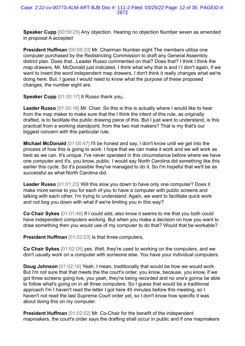**Speaker Cupp** [00:59:25] Any objection. Hearing no objection Number seven as amended in proposal A accepted

**President Huffman** [00:59:33] Mr. Chairman Number eight The members utilize one computer purchased by the Redistricting Commission to draft any General Assembly district plan. Does that...Leader Russo commented on that? Does that? I think I think the map drawers, Mr. McDonald just indicated. I think what why that is and I I don't again, if we want to insert the word independent map drawers, I don't think it really changes what we're doing here. But. I guess I would need to know what the purpose of these proposed changes, the number eight are.

**Speaker Cupp** [01:00:17] It Russo thank you,.

**Leader Russo** [01:00:18] Mr. Chair. So this is this is actually where I would like to hear from the map maker to make sure that the I think the intent of this rule, as originally drafted, is to facilitate the public drawing piece of this. But I just want to understand, is this practical from a working standpoint, from the two mat makers? That is my that's our biggest concern with this particular rule.

**Michael McDonald** [01:00:47] I'll be honest and say, I don't know until we get into the process of how this is going to work. I hope that we can make it work and we will work as best as we can. It's unique. I've never operated in this circumstance before where we have one computer and it's, you know, public. I would say North Carolina did something like this earlier this cycle. So it's possible they've managed to do it. So I'm hopeful that we'll be as successful as what North Carolina did.

**Leader Russo** [01:01:23] Will this slow you down to have only one computer? Does it make more sense to you for each of you to have a computer with public screens and talking with each other, I'm trying to understand. Again, we want to facilitate quick work and not bog you down with what if we're limiting you in this way?

**Co Chair Sykes** [01:01:46] If I could add, also know it seems to me that you both could have independent computers working. But when you make a decision on how you want to draw something then you would use of my computer to do that? Would that be workable?

**President Huffman** [01:02:03] Is that three computers,

**Co Chair Sykes** [01:02:05] yes. Well, they're used to working on the computers, and we don't usually work on a computer with someone else. You have your individual computers.

**Doug Johnson** [01:02:16] Yeah, I mean, traditionally that would be how we would work. But I'm not sure that that meets the the court's order, you know, because, you know, if we got three screens going live, you yeah, they're being recorded and no one's gonna be able to follow what's going on in all three computers. So I guess that would be a traditional approach I'm I haven't read the letter I got here 45 minutes before this meeting, so I haven't not read the last Supreme Court order yet, so I don't know how specific it was about doing this on my computer.

**President Huffman** [01:02:52] Mr. Co-Chair for the benefit of the independent mapmakers, the court's order says the drafting shall occur in public and if one mapmakers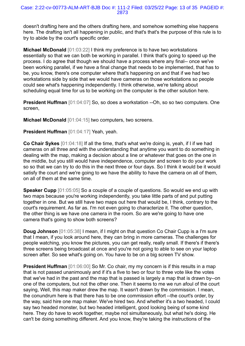doesn't drafting here and the others drafting here, and somehow something else happens here. The drafting isn't all happening in public, and that's that's the purpose of this rule is to try to abide by the court's specific order.

**Michael McDonald** [01:03:22] I think my preference is to have two workstations essentially so that we can both be working in parallel. I think that's going to speed up the process. I do agree that though we should have a process where any final-- once we've been working parallel, if we have a final change that needs to be implemented, that has to be, you know, there's one computer where that's happening on and that if we had two workstations side by side that we would have cameras on those workstations so people could see what's happening independently. I think otherwise, we're talking about scheduling equal time for us to be working on the computer is the other solution here.

**President Huffman** [01:04:07] So, so does a workstation --Oh, so so two computers. One screen,

**Michael McDonald** [01:04:15] two computers, two screens.

# **President Huffman** [01:04:17] Yeah, yeah.

**Co Chair Sykes** [01:04:18] If all the time, that's what we're doing is, yeah, if I if we had cameras on all three and with the understanding that anytime you want to do something in dealing with the map, making a decision about a line or whatever that goes on the one in the middle, but you still would have independence, computer and screen to do your work so so that we can try to do this in the next three or four days. So I think it would be it would satisfy the court and we're going to we have the ability to have the camera on all of them. on all of them at the same time.

**Speaker Cupp** [01:05:05] So a couple of a couple of questions. So would we end up with two maps because you're working independently, you take little parts of and put putting together in one. But we still have two maps out here that would be, I think, contrary to the court's requirement. As far as. I'm not even going to characterize it. The other question, the other thing is we have one camera in the room. So are we're going to have one camera that's going to show both screens?

**Doug Johnson** [01:05:38] I mean, if I might on that question Co Chair Cupp is a I'm sure that I mean, if you look around here, they can bring in more cameras. The challenges for people watching, you know the pictures, you can get really, really small. If there's if there's three screens being broadcast at once and you're not going to able to see on your laptop screen after. So see what's going on. You have to be on a big screen TV show.

**President Huffman** [01:06:00] So Mr. Co chair, my my concern is if this results in a map that is not passed unanimously and if it's a five to two or four to three vote like the votes that we've had in the past and the map that is passed is largely a map that is drawn by--on one of the computers, but not the other one. Then it seems to me we run afoul of the court saying, Well, this map maker drew the map. It wasn't drawn by the commission. I mean, the conundrum here is that there has to be one commission effort --the court's order, by the way, said hire one map maker. We've hired two. And whether it's a two headed, I could say two headed monster, but two headed intelligent, good looking being of some kind here. They do have to work together, maybe not simultaneously, but what he's doing. He can't be doing something different. And you know, they're taking the instructions of the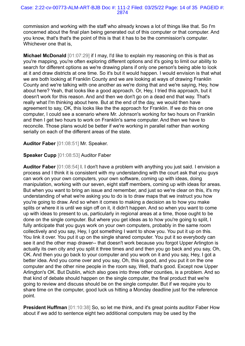#### Case: 2:22-cv-00773-ALM-ART-BJB Doc #: 111-2 Filed: 03/25/22 Page: 14 of 35 PAGEID #: 2874

commission and working with the staff who already knows a lot of things like that. So I'm concerned about the final plan being generated out of this computer or that computer. And you know, that's that's the point of this is that it has to be the commission's computer. Whichever one that is,

**Michael McDonald** [01:07:29] if I may, I'd like to explain my reasoning on this is that as you're mapping, you're often exploring different options and it's going to limit our ability to search for different options as we're drawing plans if only one person's being able to look at it and draw districts at one time. So it's but it would happen. I would envision is that what we are both looking at Franklin County and we are looking at ways of drawing Franklin County and we're talking with one another as we're doing that and we're saying, Hey, how about here? Yeah, that looks like a good approach. Or, Hey, I tried this approach, but it doesn't work for this reason. And and then we don't go on a dead end that way. That's really what I'm thinking about here. But at the end of the day, we would then have agreement to say, OK, this looks like the the approach for Franklin. If we do this on one computer, I could see a scenario where Mr. Johnson's working for two hours on Franklin and then I get two hours to work on Franklin's same computer. And then we have to reconcile. Those plans would be better if we're working in parallel rather than working serially on each of the different areas of the state.

## **Auditor Faber** [01:08:51] Mr. Speaker.

## **Speaker Cupp** [01:08:53] Auditor Faber

**Auditor Faber** [01:08:54] I. I don't have a problem with anything you just said. I envision a process and I think it is consistent with my understanding with the court ask that you guys can work on your own computers, your own software, coming up with ideas, doing manipulation, working with our seven, eight staff members, coming up with ideas for areas. But when you want to bring an issue and remember, and just so we're clear on this, it's my understanding of what we're asking you to do is to draw maps that we instruct you how you're going to draw. And so when it comes to making a decision as to how you make splits or where it is until we sign off on it, it didn't happen. And so when you want to come up with ideas to present to us, particularly in regional areas at a time, those ought to be done on the single computer. But where you get ideas as to how you're going to split, I fully anticipate that you guys work on your own computers, probably in the same room collectively and you say, Hey, I got something I want to show you. You put it up on this. You link it over. You put it up on the single shared computer. You put it so everybody can see it and the other map drawer-- that doesn't work because you forgot Upper Arlington is actually its own city and you split it three times and and then you go back and you say, Oh, OK. And then you go back to your computer and you work on it and you say, Hey, I got a better idea. And you come over and you say, Oh, this is good, and you put it on the one computer and the other nine people in the room say, Well, that's good. Except now Upper Arlington's OK. But Dublin, which also goes into three other counties, is a problem. And so that kind of debate should happen on the single computer, the final product that we're going to review and discuss should be on the single computer. But if we require you to share time on the computer, good luck us hitting a Monday deadline just for the reference point.

**President Huffman** [01:10:38] So, so let me think, and it's great points auditor Faber How about if we add to sentence eight two additional computers may be used by the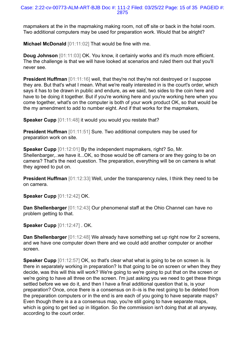mapmakers at the in the mapmaking making room, not off site or back in the hotel room. Two additional computers may be used for preparation work. Would that be alright?

**Michael McDonald** [01:11:02] That would be fine with me.

**Doug Johnson** [01:11:03] OK. You know, it certainly works and it's much more efficient. The the challenge is that we will have looked at scenarios and ruled them out that you'll never see.

**President Huffman** [01:11:16] well, that they're not they're not destroyed or I suppose they are. But that's what I mean. What we're really interested in is the court's order, which says it has to be drawn in public and endure, as we said, two sides to the coin here and have to be doing it together. But if you're working here and you're working here when you come together, what's on the computer is both of your work product OK, so that would be the my amendment to add to number eight. And if that works for the mapmakers,

**Speaker Cupp** [01:11:48] it would you would you restate that?

**President Huffman** [01:11:51] Sure. Two additional computers may be used for preparation work on site.

**Speaker Cupp** [01:12:01] By the independent mapmakers, right? So, Mr. Shellenbarger,..we have it...OK, so those would be off camera or are they going to be on camera? That's the next question. The preparation, everything will be on camera is what they agreed to put on.

**President Huffman** [01:12:33] Well, under the transparency rules, I think they need to be on camera.

**Speaker Cupp** [01:12:42] OK.

**Dan Shellenbarger** [01:12:43] Our phenomenal staff at the Ohio Channel can have no problem getting to that.

**Speaker Cupp** [01:12:47] . OK.

**Dan Shellenbarger** [01:12:48] We already have something set up right now for 2 screens, and we have one computer down there and we could add another computer or another screen.

**Speaker Cupp** [01:12:57] OK, so that's clear what what is going to be on screen is. Is there in separately working in preparation? Is that going to be on screen or when they they decide, was this will this will work? We're going to we're going to put that on the screen or we're going to have all three on the screen. I'm just asking you we need to get these things settled before we we do it, and then I have a final additional question that is, is your preparation? Once, once there is a consensus on it--is is the rest going to be deleted from the preparation computers or in the end is are each of you going to have separate maps? Even though there is a a a consensus map, you're still going to have separate maps, which is going to get tied up in litigation. So the commission isn't doing that at all anyway, according to the court order.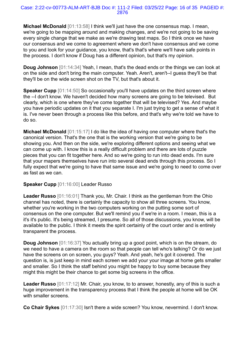**Michael McDonald** [01:13:58] I think we'll just have the one consensus map. I mean, we're going to be mapping around and making changes, and we're not going to be saving every single change that we make as we're drawing test maps. So I think once we have our consensus and we come to agreement where we don't have consensus and we come to you and look for your guidance, you know, that's that's where we'll have safe points in the process. I don't know if Doug has a different opinion, but that's my opinion.

**Doug Johnson** [01:14:34] Yeah, I mean, that's the dead ends or the things we can look at on the side and don't bring the main computer. Yeah. Aren't, aren't--I guess they'll be that they'll be on the wide screen shot on the TV, but that's about it.

**Speaker Cupp** [01:14:50] So occasionally you'll have updates on the third screen where the --I don't know. We haven't decided how many screens are going to be televised. But clearly, which is one where they've come together that will be televised? Yes. And maybe you have periodic updates on it that you separate I. I'm just trying to get a sense of what it is. I've never been through a process like this before, and that's why we're told we have to do so.

**Michael McDonald** [01:15:17] I do like the idea of having one computer where that's the canonical version. That's the one that is the working version that we're going to be showing you. And then on the side, we're exploring different options and seeing what we can come up with. I know this is a really difficult problem and there are lots of puzzle pieces that you can fit together here. And so we're going to run into dead ends. I'm sure that your mapers themselves have run into several dead ends through this process. So I fully expect that we're going to have that same issue and we're going to need to come over as fast as we can.

# **Speaker Cupp** [01:16:00] Leader Russo

**Leader Russo** [01:16:01] Thank you, Mr. Chair. I think as the gentleman from the Ohio channel has noted, there is certainly the capacity to show all three screens. You know, whether you're working in the two computers working on the putting some sort of consensus on the one computer. But we'll remind you if we're in a room. I mean, this is a it's it's public. It's being streamed, I presume. So all of those discussions, you know, will be available to the public. I think it meets the spirit certainly of the court order and is entirely transparent the process.

**Doug Johnson** [01:16:37] You actually bring up a good point, which is on the stream, do we need to have a camera on the room so that people can tell who's talking? Or do we just have the screens on on screen, you guys? Yeah. And yeah, he's got it covered. The question is, is just keep in mind each screen we add your your image at home gets smaller and smaller. So I think the staff behind you might be happy to buy some because they might this might be their chance to get some big screens in the office.

**Leader Russo** [01:17:12] Mr. Chair, you know, to to answer, honestly, any of this is such a huge improvement in the transparency process that I think the people at home will be OK with smaller screens.

**Co Chair Sykes** [01:17:30] Isn't there a wide screen? You know, nevermind. I don't know.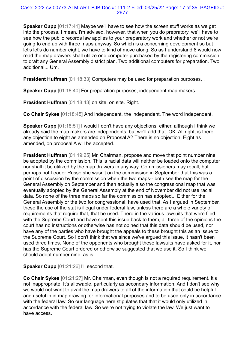**Speaker Cupp** [01:17:41] Maybe we'll have to see how the screen stuff works as we get into the process. I mean, I'm advised, however, that when you do prepratory, we'll have to see how the public records law applies to your preparatory work and whether or not we're going to end up with three maps anyway. So which is a concerning development so but let's let's do number eight, we have to kind of move along. So as I understand 8 would now read the map drawers shall utilize one computer purchased by the registering commission to draft any General Assembly district plan. Two additional computers for preparation. Two additional... Um.

**President Huffman** [01:18:33] Computers may be used for preparation purposes, .

**Speaker Cupp** [01:18:40] For preparation purposes, independent map makers.

**President Huffman** [01:18:43] on site, on site. Right.

**Co Chair Sykes** [01:18:45] And independent, the independent. The word independent,

**Speaker Cupp** [01:18:51] I would I don't have any objections, either, although I think we already said the map makers are independents, but we'll add that. OK. All right, is there any objection to eight as amended on Proposal A? There is no objection. Eight as amended, on proposal A will be accepted.

**President Huffman** [01:19:25] Mr. Chairman, propose and move that point number nine be adopted by the commission. This is racial data will neither be loaded onto the computer nor shall it be utilized by the map drawers in any way. Commissioners may recall, but perhaps not Leader Russo she wasn't on the commission in September that this was a point of discussion by the commission when the two maps-- both see the map for the General Assembly on September and then actually also the congressional map that was eventually adopted by the General Assembly at the end of November did not use racial data. So none of the three maps so far the commission has adopted... Either for the General Assembly or the two for congressional, have used that. As I argued in September, these the use of the stat is illegal under federal law, unless there are a whole variety of requirements that require that, that be used. There in the various lawsuits that were filed with the Supreme Court and have sent this issue back to them, all three of the opinions the court has no instructions or otherwise has not opined that this data should be used, nor have any of the parties who have brought the appeals to these brought this as an issue to the Supreme Court. So I don't think that we since we've argued this issue, it hasn't been used three times. None of the opponents who brought these lawsuits have asked for it, nor has the Supreme Court ordered or otherwise suggested that we use it. So I think we should adopt number nine, as is.

# **Speaker Cupp** [01:21:26] I'll second that.

**Co Chair Sykes** [01:21:27] Mr. Chairman, even though is not a required requirement. It's not inappropriate. It's allowable, particularly as secondary information. And I don't see why we would not want to avail the map drawers to all of the information that could be helpful and useful in in map drawing for informational purposes and to be used only in accordance with the federal law. So our language here stipulates that that it would only utilized in accordance with the federal law. So we're not trying to violate the law. We just want to have access.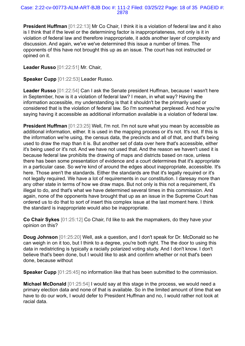**President Huffman** [01:22:13] Mr Co Chair, I think it is a violation of federal law and it also is I think that if the level or the determining factor is inappropriateness, not only is it in violation of federal law and therefore inappropriate, it adds another layer of complexity and discussion. And again, we've we've determined this issue a number of times. The opponents of this have not brought this up as an issue. The court has not instructed or opined on it.

**Leader Russo** [01:22:51] Mr. Chair,

**Speaker Cupp** [01:22:53] Leader Russo.

**Leader Russo** [01:22:54] Can I ask the Senate president Huffman, because I wasn't here in September, how is it a violation of federal law? I mean, in what way? Having the information accessible, my understanding is that it shouldn't be the primarily used or considered that is the violation of federal law. So I'm somewhat perplexed. And how you're saying having it accessible as additional information available is a violation of federal law.

**President Huffman** [01:23:25] Well, I'm not. I'm not sure what you mean by accessible as additional information, either. It is used in the mapping process or it's not. It's not. If this is the information we're using, the census data, the precincts and all of that, and that's being used to draw the map than it is. But another set of data over here that's accessible, either it's being used or it's not. And we have not used that. And the reason we haven't used it is because federal law prohibits the drawing of maps and districts based on race, unless there has been some presentation of evidence and a court determines that it's appropriate in a particular case. So we're kind of around the edges about inappropriate, accessible. It's here. Those aren't the standards. Either the standards are that it's legally required or it's not legally required. We have a lot of requirements in our constitution. I daresay more than any other state in terms of how we draw maps. But not only is this not a requirement, it's illegal to do, and that's what we have determined several times in this commission. And again, none of the opponents have brought that up as an issue in the Supreme Court has ordered us to do that to sort of insert this complex issue at the last moment here. I think the standard is inappropriate would also be inappropriate.

**Co Chair Sykes** [01:25:12] Co Chair, I'd like to ask the mapmakers, do they have your opinion on this?

**Doug Johnson** [01:25:20] Well, ask a question, and I don't speak for Dr. McDonald so he can weigh in on it too, but I think to a degree, you're both right. The the door to using this data in redistricting is typically a racially polarized voting study. And I don't know. I don't believe that's been done, but I would like to ask and confirm whether or not that's been done, because without

**Speaker Cupp** [01:25:45] no information like that has been submitted to the commission.

**Michael McDonald** [01:25:54] I would say at this stage in the process, we would need a primary election data and none of that is available. So in the limited amount of time that we have to do our work, I would defer to President Huffman and no, I would rather not look at racial data.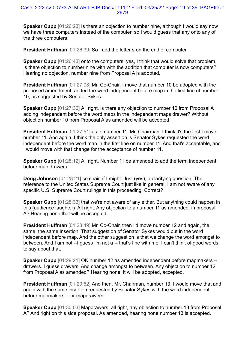#### Case: 2:22-cv-00773-ALM-ART-BJB Doc #: 111-2 Filed: 03/25/22 Page: 19 of 35 PAGEID #: 2879

**Speaker Cupp** [01:26:23] Is there an objection to number nine, although I would say now we have three computers instead of the computer, so I would guess that any onto any of the three computers.

**President Huffman** [01:26:39] So I add the letter s on the end of computer

**Speaker Cupp** [01:26:43] onto the computers, yes, I think that would solve that problem. Is there objection to number nine with with the addition that computer is now computers? Hearing no objection, number nine from Proposal A is adopted,

**President Huffman** [01:27:08] Mr. Co-Chair, I move that number 10 be adopted with the proposed amendment, added the word independent before map in the first line of number 10, as suggested by Senator Sykes.

**Speaker Cupp** [01:27:30] All right, is there any objection to number 10 from Proposal A adding independent before the word maps in the independent maps drawer? Without objection number 10 from Proposal A as amended will be accepted

**President Huffman** [01:27:51] as to number 11. Mr. Chairman, I think it's the first I move number 11. And again, I think the only assertion is Senator Sykes requested the word independent before the word map in the first line on number 11. And that's acceptable, and I would move with that change for the acceptance of number 11.

**Speaker Cupp** [01:28:12] All right. Number 11 be amended to add the term independent before map drawers

**Doug Johnson** [01:28:21] co chair, if I might. Just (yes), a clarifying question. The reference to the United States Supreme Court just like in general, I am not aware of any specific U.S. Supreme Court rulings in this proceeding. Correct?

**Speaker Cupp** [01:28:33] that we're not aware of any either. But anything could happen in this (audience laughter) All right. Any objection to a number 11 as amended, in proposal A? Hearing none that will be accepted.

**President Huffman** [01:28:49] Mr. Co-Chair, then I'd move number 12 and again, the same, the same insertion. That suggestion of Senator Sykes would put in the word independent before map. And the other suggestion is that we change the word amongst to between. And I am not --I guess I'm not a -- that's fine with me. I can't think of good words to say about that.

**Speaker Cupp** [01:29:21] OK number 12 as amended independent before mapmakers -drawers. I guess drawers. And change amongst to between. Any objection to number 12 from Proposal A as amended? Hearing none, it will be adopted, accepted.

**President Huffman** [01:29:52] And then, Mr. Chairman, number 13, I would move that and again with the same insertion requested by Senator Sykes with the word independent before mapmakers -- or mapdrawers.

**Speaker Cupp** [01:30:03] Mapdrawers. all right, any objection to number 13 from Proposal A? And right on this side proposal. As amended, hearing none number 13 is accepted.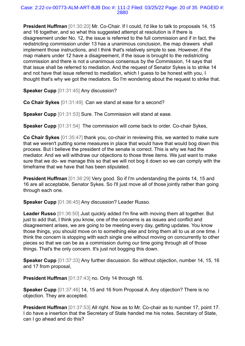#### Case: 2:22-cv-00773-ALM-ART-BJB Doc #: 111-2 Filed: 03/25/22 Page: 20 of 35 PAGEID #: 2880

**President Huffman** [01:30:20] Mr. Co-Chair. If I could, I'd like to talk to proposals 14, 15 and 16 together, and so what this suggested attempt at resolution is if there is disagreement under No. 12, the issue is referred to the full commission and if in fact, the redistricting commission under 13 has a unanimous conclusion, the map drawers shall implement those instructions, and I think that's relatively simple to see. However, if the map makers under 12 have a disagreement, if the issue is brought to the redistricting commission and there is not a unanimous consensus by the Commission, 14 says that that issue shall be referred to mediation. And the request of Senator Sykes is to strike 14 and not have that issue referred to mediation, which I guess to be honest with you, I thought that's why we got the mediators. So I'm wondering about the request to strike that.

**Speaker Cupp** [01:31:45] Any discussion?

**Co Chair Sykes** [01:31:49] Can we stand at ease for a second?

**Speaker Cupp** [01:31:53] Sure. The Commission will stand at ease.

**Speaker Cupp** [01:31:54] The commission will come back to order. Co-chair Sykes,

**Co Chair Sykes** [01:35:47] thank you, co-chair in reviewing this, we wanted to make sure that we weren't putting some measures in place that would have that would bog down this process. But I believe the president of the senate is correct. This is why we had the mediator. And we will withdraw our objections to those three items. We just want to make sure that we do- we manage this so that we will not bog it down so we can comply with the timeframe that we have that has been stipulated.

**President Huffman** [01:36:29] Very good. So if I'm understanding the points 14, 15 and 16 are all acceptable, Senator Sykes. So I'll just move all of those jointly rather than going through each one.

**Speaker Cupp** [01:36:45] Any discussion? Leader Russo.

**Leader Russo** [01:36:50] Just quickly added I'm fine with moving them all together. But just to add that, I think you know, one of the concerns is as issues and conflict and disagreement arises, we are going to be meeting every day, getting updates. You know those things, you should move on to something else and bring them all to us at one time. I think the concern is stopping with each single one without moving on concurrently to other pieces so that we can be as a commission during our time going through all of those things. That's the only concern. It's just not bogging this down.

**Speaker Cupp** [01:37:33] Any further discussion. So without objection, number 14, 15, 16 and 17 from proposal,

**President Huffman** [01:37:43] no. Only 14 through 16.

**Speaker Cupp** [01:37:46] 14, 15 and 16 from Proposal A. Any objection? There is no objection. They are accepted.

**President Huffman** [01:37:53] All right. Now as to Mr. Co-chair as to number 17, point 17. I do have a insertion that the Secretary of State handed me his notes. Secretary of State, can I go ahead and do this?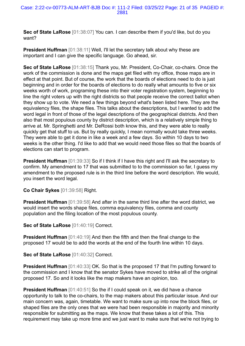**Sec of State LaRose** [01:38:07] You can. I can describe them if you'd like, but do you want?

**President Huffman** [01:38:11] Well, I'll let the secretary talk about why these are important and I can give the specific language. Go ahead, sir.

**Sec of State LaRose** [01:38:15] Thank you, Mr. President, Co-Chair, co-chairs. Once the work of the commission is done and the maps get filed with my office, those maps are in effect at that point. But of course, the work that the boards of elections need to do is just beginning and in order for the boards of elections to do really what amounts to five or six weeks worth of work, programing these into their voter registration system, beginning to line the right voters up with the right districts so that people receive the correct ballot when they show up to vote. We need a few things beyond what's been listed here. They are the equivalency files, the shape files. This talks about the descriptions, but I wanted to add the word legal in front of those of the legal descriptions of the geographical districts. And then also that most populous county by district description, which is a relatively simple thing to arrive at. Mr. Springhetti and Mr. DeRossi both know this, and they were able to really quickly get that stuff to us. But by really quickly, I mean normally would take three weeks. They were able to get it done in like a week and a few days. So within 10 days to two weeks is the other thing. I'd like to add that we would need those files so that the boards of elections can start to program.

**President Huffman** [01:39:33] So if I think if I have this right and I'll ask the secretary to confirm. My amendment to 17 that was submitted to to the commission so far, I guess my amendment to the proposed rule is in the third line before the word description. We would, you insert the word legal.

**Co Chair Sykes** [01:39:58] Right.

**President Huffman** [01:39:58] And after in the same third line after the word district, we would insert the words shape files, comma equivalency files, comma and county population and the filing location of the most populous county.

**Sec of State LaRose** [01:40:19] Correct.

**President Huffman** [01:40:19] And then the fifth and then the final change to the proposed 17 would be to add the words at the end of the fourth line within 10 days.

**Sec of State LaRose** [01:40:32] Correct.

**President Huffman** [01:40:33] OK. So that is the proposed 17 that I'm putting forward to the commission and I know that the senator Sykes have moved to strike all of the original proposed 17. So and it looks like the map makers have an opinion, too.

**President Huffman** [01:40:51] So the if I could speak on it, we did have a chance opportunity to talk to the co-chairs, to the map makers about this particular issue. And our main concern was, again, timetable. We want to make sure up into now the block files, or shaped files are the only ones that we were had been responsible in majority and minority responsible for submitting as the maps. We know that these takes a lot of this. This requirement may take up more time and we just want to make sure that we're not trying to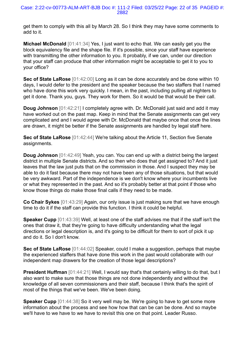get them to comply with this all by March 28. So I think they may have some comments to add to it.

**Michael McDonald** [01:41:34] Yes, I just want to echo that. We can easily get you the block equivalency file and the shape file. If it's possible, since your staff have experience with transmitting the other information to you. It probably, if we can, under our direction that your staff can produce that other information might be acceptable to get it to you to your office?

**Sec of State LaRose** [01:42:00] Long as it can be done accurately and be done within 10 days, I would defer to the president and the speaker because the two staffers that I named who have done this work very quickly. I mean, in the past, including pulling all nighters to get it done. Thank you, guys. They work for them. So it would be that would be their call.

**Doug Johnson** [01:42:21] I completely agree with. Dr. McDonald just said and add it may have worked out on the past map. Keep in mind that the Senate assignments can get very complicated and and I would agree with Dr. McDonald that maybe once that once the lines are drawn, it might be better if the Senate assignments are handled by legal staff here.

**Sec of State LaRose** [01:42:44] We're talking about the Article 11, Section five Senate assignments.

**Doug Johnson** [01:42:49] Yeah, you can. You can end up with a district being the largest district in multiple Senate districts. And so then who does that get assigned to? And it just leaves that the law just puts that on the commission in those. And I suspect they may be able to do it fast because there may not have been any of those situations, but that would be very awkward. Part of the independence is we don't know where your incumbents live or what they represented in the past. And so it's probably better at that point if those who know those things do make those final calls if they need to be made.

**Co Chair Sykes** [01:43:29] Again, our only issue is just making sure that we have enough time to do it if the staff can provide this function. I think it could be helpful.

**Speaker Cupp** [01:43:39] Well, at least one of the staff advises me that if the staff isn't the ones that draw it, that they're going to have difficulty understanding what the legal directions or legal description is, and it's going to be difficult for them to sort of pick it up and do it. So I don't know.

**Sec of State LaRose** [01:44:02] Speaker, could I make a suggestion, perhaps that maybe the experienced staffers that have done this work in the past would collaborate with our independent map drawers for the creation of those legal descriptions?

**President Huffman** [01:44:21] Well, I would say that's that certainly willing to do that, but I also want to make sure that those things are not done independently and without the knowledge of all seven commissioners and their staff, because I think that's the spirit of most of the things that we've been. We've been doing.

**Speaker Cupp** [01:44:38] So it very well may be. We're going to have to get some more information about the process and see how how that can be can be done. And so maybe we'll have to we have to we have to revisit this one on that point. Leader Russo.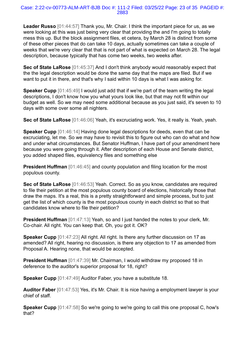**Leader Russo** [01:44:57] Thank you, Mr. Chair. I think the important piece for us, as we were looking at this was just being very clear that providing the and I'm going to totally mess this up. But the block assignment files, et cetera, by March 28 is distinct from some of these other pieces that do can take 10 days, actually sometimes can take a couple of weeks that we're very clear that that is not part of what is expected on March 28. The legal description, because typically that has come two weeks, two weeks after.

**Sec of State LaRose** [01:45:37] And I don't think anybody would reasonably expect that the the legal description would be done the same day that the maps are filed. But if we want to put it in there, and that's why I said within 10 days is what I was asking for.

**Speaker Cupp** [01:45:49] I would just add that if we're part of the team writing the legal descriptions, I don't know how you what yours look like, but that may not fit within our budget as well. So we may need some additional because as you just said, it's seven to 10 days with some over some all nighters.

**Sec of State LaRose** [01:46:06] Yeah, it's excruciating work. Yes, it really is. Yeah, yeah.

**Speaker Cupp** [01:46:14] Having done legal descriptions for deeds, even that can be excruciating, let me. So we may have to revisit this to figure out who can do what and how and under what circumstances. But Senator Huffman, I have part of your amendment here because you were going through it. After description of each House and Senate district, you added shaped files, equivalency files and something else

**President Huffman** [01:46:45] and county population and filing location for the most populous county.

**Sec of State LaRose** [01:46:53] Yeah. Correct. So as you know, candidates are required to file their petition at the most populous county board of elections, historically those that draw the maps. It's a real, this is a pretty straightforward and simple process, but to just get the list of which county is the most populous county in each district so that so that candidates know where to file their petition?

**President Huffman** [01:47:13] Yeah, so and I just handed the notes to your clerk, Mr. Co-chair. All right. You can keep that. Oh, you got it. OK?

**Speaker Cupp** [01:47:23] All right. All right. Is there any further discussion on 17 as amended? All right, hearing no discussion, is there any objection to 17 as amended from Proposal A. Hearing none, that would be accepted.

**President Huffman** [01:47:39] Mr. Chairman, I would withdraw my proposed 18 in deference to the auditor's superior proposal for 18, right?

**Speaker Cupp** [01:47:49] Auditor Faber, you have a substitute 18.

**Auditor Faber** [01:47:53] Yes, it's Mr. Chair. It is nice having a employment lawyer is your chief of staff.

**Speaker Cupp** [01:47:58] So we're going to we're going to call this one proposal C, how's that?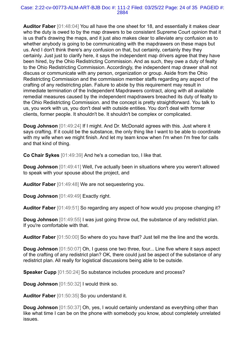#### Case: 2:22-cv-00773-ALM-ART-BJB Doc #: 111-2 Filed: 03/25/22 Page: 24 of 35 PAGEID #: 2884

**Auditor Faber** [01:48:04] You all have the one sheet for 18, and essentially it makes clear who the duty is owed to by the map drawers to be consistent Supreme Court opinion that it is us that's drawing the maps, and it just also makes clear to alleviate any confusion as to whether anybody is going to be communicating with the mapdrawers on these maps but us. And I don't think there's any confusion on that, but certainly, certainly they they certainly. Just just to clarify here, it says the independent map drivers agree that they have been hired, by the Ohio Redistricting Commission. And as such, they owe a duty of fealty to the Ohio Redistricting Commission. Accordingly, the independent map drawer shall not discuss or communicate with any person, organization or group. Aside from the Ohio Redistricting Commission and the commission member staffs regarding any aspect of the crafting of any redistricting plan. Failure to abide by this requirement may result in immediate termination of the Independent Mapdrawers contract, along with all available remedial measures caused by the independent mapdrawers breached its duty of fealty to the Ohio Redistricting Commission. and the concept is pretty straightforward. You talk to us, you work with us, you don't deal with outside entities. You don't deal with former clients, former people. It shouldn't be. It shouldn't be complex or complicated.

**Doug Johnson** [01:49:24] If I might. And Dr. McDonald agrees with this. Just where it says crafting. If it could be the substance, the only thing like I want to be able to coordinate with my wife when we might finish. And let my team know when I'm when I'm free for calls and that kind of thing.

**Co Chair Sykes** [01:49:39] And he's a comedian too, I like that.

**Doug Johnson** [01:49:41] Well, I've actually been in situations where you weren't allowed to speak with your spouse about the project, and

**Auditor Faber** [01:49:48] We are not sequestering you.

**Doug Johnson** [01:49:49] Exactly right.

**Auditor Faber** [01:49:51] So regarding any aspect of how would you propose changing it?

**Doug Johnson** [01:49:55] I was just going throw out, the substance of any redistrict plan. If you're comfortable with that.

**Auditor Faber** [01:50:00] So where do you have that? Just tell me the line and the words.

**Doug Johnson** [01:50:07] Oh, I guess one two three, four... Line five where it says aspect of the crafting of any redistrict plan? OK, there could just be aspect of the substance of any redistrict plan. All really for logistical discussions being able to be outside.

**Speaker Cupp** [01:50:24] So substance includes procedure and process?

**Doug Johnson** [01:50:32] I would think so.

**Auditor Faber** [01:50:35] So you understand it.

**Doug Johnson** [01:50:37] Oh, yes, I would certainly understand as everything other than like what time I can be on the phone with somebody you know, about completely unrelated issues.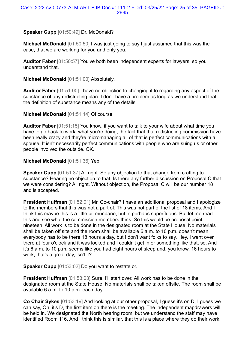# **Speaker Cupp** [01:50:49] Dr. McDonald?

**Michael McDonald** [01:50:50] I was just going to say I just assumed that this was the case, that we are working for you and only you.

**Auditor Faber** [01:50:57] You've both been independent experts for lawyers, so you understand that.

**Michael McDonald** [01:51:00] Absolutely.

**Auditor Faber** [01:51:00] I have no objection to changing it to regarding any aspect of the substance of any redistricting plan. I don't have a problem as long as we understand that the definition of substance means any of the details.

**Michael McDonald** [01:51:14] Of course.

**Auditor Faber** [01:51:15] You know, if you want to talk to your wife about what time you have to go back to work, what you're doing, the fact that that redistricting commission have been really crazy and they're micromanaging all of that is perfect communications with a spouse, It isn't necessarily perfect communications with people who are suing us or other people involved the outside. OK.

## **Michael McDonald** [01:51:36] Yep.

**Speaker Cupp** [01:51:37] All right. So any objection to that change from crafting to substance? Hearing no objection to that. Is there any further discussion on Proposal C that we were considering? All right. Without objection, the Proposal C will be our number 18 and is accepted.

**President Huffman** [01:52:01] Mr. Co-chair? I have an additional proposal and I apologize to the members that this was not a part of. This was not part of the list of 18 items. And I think this maybe this is a little bit mundane, but in perhaps superfluous. But let me read this and see what the commission members think. So this would be proposal point nineteen. All work is to be done in the designated room at the State House. No materials shall be taken off site and the room shall be available 6 a.m. to 10 p.m. doesn't mean everybody has to be there 18 hours a day, but I don't want folks to say, Hey, I went over there at four o'clock and it was locked and I couldn't get in or something like that, so. And it's 6 a.m. to 10 p.m. seems like you had eight hours of sleep and, you know, 16 hours to work, that's a great day, isn't it?

**Speaker Cupp** [01:53:02] Do you want to restate or.

**President Huffman** [01:53:03] Sure, I'll start over. All work has to be done in the designated room at the State House. No materials shall be taken offsite. The room shall be available 6 a.m. to 10 p.m. each day.

**Co Chair Sykes** [01:53:19] And looking at our other proposal, I guess it's on D, I guess we can say, Oh, it's D, the first item on there is the meeting. The independent mapdrawers will be held in. We designated the North hearing room, but we understand the staff may have identified Room 116. And I think this is similar, that this is a place where they do their work.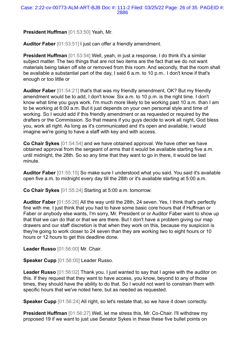**President Huffman** [01:53:50] Yeah, Mr.

**Auditor Faber** [01:53:51] I just can offer a friendly amendment.

**President Huffman** [01:53:54] Well, yeah, in just a response, I do think it's a similar subject matter. The two things that are not two items are the fact that we do not want materials being taken off site or removed from this room. And secondly, that the room shall be available a substantial part of the day, I said 6 a.m. to 10 p.m.. I don't know if that's enough or too little or

**Auditor Faber** [01:54:21] that's that was my friendly amendment, OK? But my friendly amendment would be to add, I don't know. Six a.m. to 10 p.m. is the right time. I don't know what time you guys work. I'm much more likely to be working past 10 a.m. than I am to be working at 6:00 a.m. But it just depends on your own personal style and time of working. So I would add if this friendly amendment or as requested or required by the drafters or the Commission. So that means if you guys decide to work all night, God bless you, work all right. As long as it's communicated and it's open and available, I would imagine we're going to have a staff with key and with access.

**Co Chair Sykes** [01:54:54] and we have obtained approval. We have other we have obtained approval from the sergeant of arms that it would be available starting five a.m. until midnight, the 28th. So so any time that they want to go in there, it would be last minute.

**Auditor Faber** [01:55:15] So make sure I understood what you said. You said it's available open five a.m. to midnight every day till the 28th or it's available starting at 5:00 a.m.

**Co Chair Sykes** [01:55:24] Starting at 5:00 a.m. tomorrow.

**Auditor Faber** [01:55:26] All the way until the 28th, 24 seven. Yes, I think that's perfectly fine with me. I just think that you had to have some basic core hours that if Huffman or Faber or anybody else wants, I'm sorry, Mr. President or or Auditor Faber want to show up that that we can do that or that we are there. But I don't have a problem giving our map drawers and our staff discretion is that when they work on this, because my suspicion is they're going to work closer to 24 seven than they are working two to eight hours or 10 hours or 12 hours to get this deadline done.

**Leader Russo** [01:56:00] Mr. Chair.

**Speaker Cupp** [01:56:00] Leader Russo.

**Leader Russo** [01:56:02] Thank you. I just wanted to say that I agree with the auditor on this. If they request that they want to have access, you know, beyond to any of those times, they should have the ability to do that. So I would not want to constrain them with specific hours that we've noted here, but as needed as requested.

**Speaker Cupp** [01:56:24] All right, so let's restate that, so we have it down correctly.

**President Huffman** [01:56:27] Well, let me stress this, Mr. Co-Chair. I'll withdraw my proposed 19 if we want to just use Senator Sykes in these these five bullet points on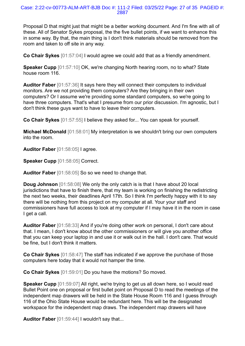Proposal D that might just that might be a better working document. And I'm fine with all of these. All of Senator Sykes proposal, the the five bullet points, if we want to enhance this in some way. By that, the main thing is I don't think materials should be removed from the room and taken to off site in any way.

**Co Chair Sykes** [01:57:04] I would agree we could add that as a friendly amendment.

**Speaker Cupp** [01:57:10] OK, we're changing North hearing room, no to what? State house room 116.

**Auditor Faber** [01:57:36] It says here they will connect their computers to individual monitors. Are we not providing them computers? Are they bringing in their own computers? Or I assume we're providing some standard computers, so we're going to have three computers. That's what I presume from our prior discussion. I'm agnostic, but I don't think these guys want to have to leave their computers.

**Co Chair Sykes** [01:57:55] I believe they asked for... You can speak for yourself.

**Michael McDonald** [01:58:01] My interpretation is we shouldn't bring our own computers into the room.

**Auditor Faber** [01:58:05] I agree.

**Speaker Cupp** [01:58:05] Correct.

**Auditor Faber** [01:58:05] So so we need to change that.

**Doug Johnson** [01:58:08] We only the only catch is is that I have about 20 local jurisdictions that have to finish there, that my team is working on finishing the redistricting the next two weeks, their deadlines April 17th. So I think I'm perfectly happy with it to say there will be nothing from this project on my computer at all. Your your staff and commissioners have full access to look at my computer if I may have it in the room in case I get a call.

**Auditor Faber** [01:58:33] And if you're doing other work on personal, I don't care about that. I mean, I don't know about the other commissioners or will give you another office that you can keep your laptop in and use it or walk out in the hall. I don't care. That would be fine, but I don't think it matters.

**Co Chair Sykes** [01:58:47] The staff has indicated if we approve the purchase of those computers here today that it would not hamper the time.

**Co Chair Sykes** [01:59:01] Do you have the motions? So moved.

**Speaker Cupp** [01:59:07] All right, we're trying to get us all down here, so I would read Bullet Point one on proposal or first bullet point on Proposal D to read the meetings of the independent map drawers will be held in the State House Room 116 and I guess through 116 of the Ohio State House would be redundant here. This will be the designated workspace for the independent map draws. The independent map drawers will have

**Auditor Faber** [01:59:44] I wouldn't say that...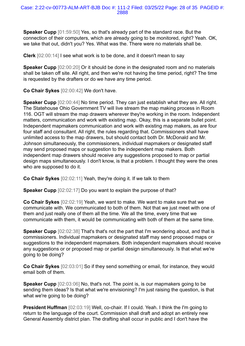**Speaker Cupp** [01:59:50] Yes, so that's already part of the standard race. But the connection of their computers, which are already going to be monitored, right? Yeah. OK, we take that out, didn't you? Yes. What was the. There were no materials shall be.

**Clerk** [02:00:14] I see what work is to be done, and it doesn't mean to say

**Speaker Cupp** [02:00:20] Or it should be done in the designated room and no materials shall be taken off site. All right, and then we're not having the time period, right? The time is requested by the drafters or do we have any time period.

**Co Chair Sykes** [02:00:42] We don't have.

**Speaker Cupp** [02:00:44] No time period. They can just establish what they are. All right. The Statehouse Ohio Government TV will live stream the map making process in Room 116. OGT will stream the map drawers wherever they're working in the room. Independent matters, communication and work with existing map. Okay, this is a separate bullet point. Independent mapmakers communication and work with existing map makers, as are four four staff and consultant. All right, the rules regarding that. Commissioners shall have unlimited access to the map drawers, but should contact both Dr. McDonald and Mr. Johnson simultaneously, the commissioners, individual mapmakers or designated staff may send proposed maps or suggestion to the independent map makers. Both independent map drawers should receive any suggestions proposed to map or partial design maps simultaneously. I don't know, is that a problem. I thought they were the ones who are supposed to do it.

**Co Chair Sykes** [02:02:11] Yeah, they're doing it. If we talk to them

**Speaker Cupp** [02:02:17] Do you want to explain the purpose of that?

**Co Chair Sykes** [02:02:19] Yeah, we want to make. We want to make sure that we communicate with. We communicated to both of them. Not that we just meet with one of them and just really one of them all the time. We all the time, every time that we communicate with them, it would be communicating with both of them at the same time.

**Speaker Cupp** [02:02:38] That's that's not the part that I'm wondering about, and that is commissioners. Individual mapmakers or designated staff may send proposed maps or suggestions to the independent mapmakers. Both independent mapmakers should receive any suggestions or or proposed map or partial design simultaneously. Is that what we're going to be doing?

**Co Chair Sykes** [02:03:01] So if they send something or email, for instance, they would email both of them.

**Speaker Cupp** [02:03:06] No, that's not. The point is, is our mapmakers going to be sending them ideas? Is that what we're envisioning? I'm just raising the question, is that what we're going to be doing?

**President Huffman** [02:03:19] Well, co-chair. If I could. Yeah. I think the I'm going to return to the language of the court. Commission shall draft and adopt an entirely new General Assembly district plan. The drafting shall occur in public and I don't have the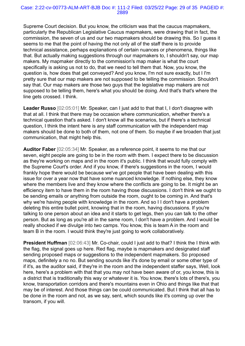Supreme Court decision. But you know, the criticism was that the caucus mapmakers, particularly the Republican Legislative Caucus mapmakers, were drawing that in fact, the commission, the seven of us and our two mapmakers should be drawing this. So I guess it seems to me that the point of having the not only all of the staff there is to provide technical assistance, perhaps explanations of certain nuances or phenomena, things like that. But actually making suggestions through our mapmakers to, I shouldn't say, our map makers. My mapmaker directly to the commission's map maker is what the court specifically is asking us not to do, that we need to tell them that. Now, you know, the question is, how does that get conveyed? And you know, I'm not sure exactly, but I I'm pretty sure that our map makers are not supposed to be telling the commission. Shouldn't say that. Our map makers are those two guys that the legislative map makers are not supposed to be telling them, here's what you should be doing. And that's that's where the line gets crossed. I think.

**Leader Russo** [02:05:01] Mr. Speaker, can I just add to that that I, I don't disagree with that at all. I think that there may be occasion where communication, whether there's a technical question that's asked. I don't know all the scenarios, but if there's a technical question, I think the intent here is any staff communication with the independent map makers should be done to both of them, not one of them. So maybe if we broaden that just communication, that might help this.

**Auditor Faber** [02:05:34] Mr. Speaker, as a reference point, it seems to me that our seven, eight people are going to be in the room with them. I expect there to be discussion as they're working on maps and in the room it's public. I think that would fully comply with the Supreme Court's order. And if you know, if there's suggestions in the room, I would frankly hope there would be because we've got people that have been dealing with this issue for over a year now that have some nuanced knowledge. If nothing else, they know where the members live and they know where the conflicts are going to be. It might be an efficiency item to have them in the room having those discussions. I don't think we ought to be sending emails or anything from outside the room, ought to be coming in. And that's why we're having people with knowledge in the room. And so I I don't have a problem deleting this entire bullet point, knowing that in the room, having discussions. If you're talking to one person about an idea and it starts to get legs, then you can talk to the other person. But as long as you're all in the same room, I don't have a problem. And I would be really shocked if we divulge into two camps. You know, this is team A in the room and team B in the room. I would think they're just going to work collaboratively.

**President Huffman** [02:06:43] Mr. Co-chair, could I just add to that? I think the I think with the flag, the signal goes up here. Red flag, maybe is mapmakers and designated staff sending proposed maps or suggestions to the independent mapmakers. So proposed maps, definitely a no no. But sending sounds like it's done by email or some other type of if it's, as the auditor said, if they're in the room and the independent staffer says, Well, look here, here's a problem with that that you may not have been aware of or, you know, this is a district that is traditionally this way or whatever it is. You know, there's lots of there's, you know, transportation corridors and there's mountains even in Ohio and things like that that may be of interest. And those things can be could communicated. But I think that all has to be done in the room and not, as we say, sent, which sounds like it's coming up over the transom, if you will.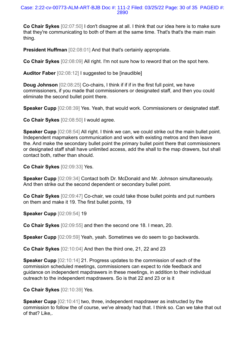#### Case: 2:22-cv-00773-ALM-ART-BJB Doc #: 111-2 Filed: 03/25/22 Page: 30 of 35 PAGEID #: 2890

**Co Chair Sykes** [02:07:50] I don't disagree at all. I think that our idea here is to make sure that they're communicating to both of them at the same time. That's that's the main main thing.

**President Huffman** [02:08:01] And that that's certainly appropriate.

**Co Chair Sykes** [02:08:09] All right. I'm not sure how to reword that on the spot here.

**Auditor Faber** [02:08:12] I suggested to be [inaudible]

**Doug Johnson** [02:08:25] Co-chairs, I think if if if in the first full point, we have commissioners, if you made that commissioners or designated staff, and then you could eliminate the second bullet point there.

**Speaker Cupp** [02:08:39] Yes. Yeah, that would work. Commissioners or designated staff.

**Co Chair Sykes** [02:08:50] I would agree.

**Speaker Cupp** [02:08:54] All right. I think we can, we could strike out the main bullet point. Independent mapmakers communication and work with existing metros and then leave the. And make the secondary bullet point the primary bullet point there that commissioners or designated staff shall have unlimited access, add the shall to the map drawers, but shall contact both, rather than should.

**Co Chair Sykes** [02:09:33] Yes.

**Speaker Cupp** [02:09:34] Contact both Dr. McDonald and Mr. Johnson simultaneously. And then strike out the second dependent or secondary bullet point.

**Co Chair Sykes** [02:09:47] Co-chair, we could take those bullet points and put numbers on them and make it 19. The first bullet points, 19

**Speaker Cupp** [02:09:54] 19

**Co Chair Sykes** [02:09:55] and then the second one 18. I mean, 20.

**Speaker Cupp** [02:09:59] Yeah, yeah. Sometimes we do seem to go backwards.

**Co Chair Sykes** [02:10:04] And then the third one, 21, 22 and 23

**Speaker Cupp** [02:10:14] 21. Progress updates to the commission of each of the commission scheduled meetings, commissioners can expect to ride feedback and guidance on independent mapdrawers in these meetings, in addition to their individual outreach to the independent mapdrawers. So is that 22 and 23 or is it

**Co Chair Sykes** [02:10:39] Yes.

**Speaker Cupp**  $[02:10:41]$  two, three, independent mapdrawer as instructed by the commission to follow the of course, we've already had that. I think so. Can we take that out of that? Like,.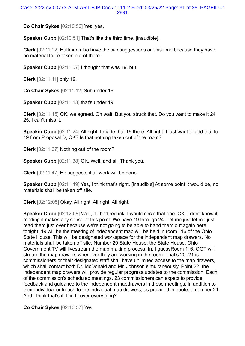#### Case: 2:22-cv-00773-ALM-ART-BJB Doc #: 111-2 Filed: 03/25/22 Page: 31 of 35 PAGEID #: 2891

**Co Chair Sykes** [02:10:50] Yes, yes.

**Speaker Cupp** [02:10:51] That's like the third time. [inaudible].

**Clerk** [02:11:02] Huffman also have the two suggestions on this time because they have no material to be taken out of there.

**Speaker Cupp** [02:11:07] I thought that was 19, but

**Clerk** [02:11:11] only 19.

**Co Chair Sykes** [02:11:12] Sub under 19.

**Speaker Cupp** [02:11:13] that's under 19.

**Clerk** [02:11:15] OK, we agreed. Oh wait. But you struck that. Do you want to make it 24 25. I can't miss it.

**Speaker Cupp** [02:11:24] All right, I made that 19 there. All right. I just want to add that to 19 from Proposal D, OK? Is that nothing taken out of the room?

**Clerk** [02:11:37] Nothing out of the room?

**Speaker Cupp** [02:11:38] OK. Well, and all. Thank you.

**Clerk** [02:11:47] He suggests it all work will be done.

**Speaker Cupp** [02:11:49] Yes, I think that's right. [inaudible] At some point it would be, no materials shall be taken off site.

**Clerk** [02:12:05] Okay. All right. All right. All right.

**Speaker Cupp** [02:12:08] Well, if I had red ink, I would circle that one. OK. I don't know if reading it makes any sense at this point. We have 19 through 24. Let me just let me just read them just over because we're not going to be able to hand them out again here tonight. 19 will be the meeting of independent map will be held in room 116 of the Ohio State House. This will be designated workspace for the independent map drawers. No materials shall be taken off site. Number 20 State House, the State House, Ohio Government TV will livestream the map making process. In, I guessRoom 116, OGT will stream the map drawers whenever they are working in the room. That's 20. 21 is commissioners or their designated staff shall have unlimited access to the map drawers, which shall contact both Dr. McDonald and Mr. Johnson simultaneously. Point 22, the independent map drawers will provide regular progress updates to the commission. Each of the commission's scheduled meetings. 23 commissioners can expect to provide feedback and guidance to the independent mapdrawers in these meetings, in addition to their individual outreach to the individual map drawers, as provided in quote, a number 21. And I think that's it. Did I cover everything?

**Co Chair Sykes** [02:13:57] Yes.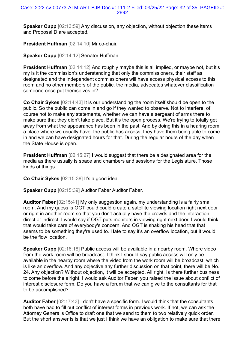**Speaker Cupp** [02:13:59] Any discussion, any objection, without objection these items and Proposal D are accepted.

**President Huffman** [02:14:10] Mr co-chair.

**Speaker Cupp** [02:14:12] Senator Huffman.

**President Huffman** [02:14:12] And roughly maybe this is all implied, or maybe not, but it's my is it the commission's understanding that only the commissioners, their staff as designated and the independent commissioners will have access physical access to this room and no other members of the public, the media, advocates whatever classification someone once put themselves in?

**Co Chair Sykes** [02:14:43] It is our understanding the room itself should be open to the public. So the public can come in and go if they wanted to observe. Not to interfere, of course not to make any statements, whether we can have a sergeant of arms there to make sure that they didn't take place. But it's the open process. We're trying to totally get away from what the appearance has been in the past. And by doing this in a hearing room, a place where we usually have, the public has access, they have them being able to come in and we can have designated hours for that. During the regular hours of the day when the State House is open.

**President Huffman** [02:15:27] I would suggest that there be a designated area for the media as there usually is space and chambers and sessions for the Legislature. Those kinds of things.

**Co Chair Sykes** [02:15:38] It's a good idea.

**Speaker Cupp** [02:15:39] Auditor Faber Auditor Faber.

**Auditor Faber** [02:15:41] My only suggestion again, my understanding is a fairly small room. And my guess is OGT could could create a satellite viewing location right next door or right in another room so that you don't actually have the crowds and the interaction, direct or indirect. I would say if OGT puts monitors in viewing right next door, I would think that would take care of everybody's concern. And OGT is shaking his head that that seems to be something they're used to. Hate to say it's an overflow location, but it would be the flow location.

**Speaker Cupp** [02:16:18] Public access will be available in a nearby room. Where video from the work room will be broadcast. I think I should say public access will only be available in the nearby room where the video from the work room will be broadcast, which is like an overflow. And any objective any further discussion on that point, there will be No. 24. Any objection? Without objection, it will be accepted. All right. Is there further business to come before the alright. I would ask Auditor Faber, you raised the issue about conflict of interest disclosure form. Do you have a forum that we can give to the consultants for that to be accomplished?

**Auditor Faber** [02:17:43] I don't have a specific form. I would think that the consultants both have had to fill out conflict of interest forms in previous work. If not, we can ask the Attorney General's Office to draft one that we send to them to two relatively quick order. But the short answer is is that we just I think we have an obligation to make sure that there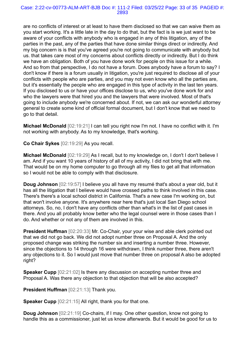#### Case: 2:22-cv-00773-ALM-ART-BJB Doc #: 111-2 Filed: 03/25/22 Page: 33 of 35 PAGEID #: 2893

are no conflicts of interest or at least to have them disclosed so that we can waive them as you start working. It's a little late in the day to do that, but the fact is is we just want to be aware of your conflicts with anybody who is engaged in any of this litigation, any of the parties in the past, any of the parties that have done similar things direct or indirectly. And my big concern is is that you've agreed you're not going to communicate with anybody but us. that takes care most of my concerns about conflicts directly or indirectly. But I do think we have an obligation. Both of you have done work for people on this issue for a while. And so from that perspective, I do not have a forum. Does anybody have a forum to say? I don't know if there is a forum usually in litigation, you're just required to disclose all of your conflicts with people who are parties, and you may not even know who all the parties are, but it's essentially the people who are engaged in this type of activity in the last ten years. If you disclosed to us or have your offices disclose to us, who you've done work for and who the lawyers were that hired you and the lawyers that were involved. Most of that's going to include anybody we're concerned about. If not, we can ask our wonderful attorney general to create some kind of official formal document, but I don't know that we need to go to that detail.

**Michael McDonald** [02:19:21] I can tell you right now I'm not. I have no conflict with it. I'm not working with anybody. As to my knowledge, that's working.

**Co Chair Sykes** [02:19:29] As you recall.

**Michael McDonald** [02:19:29] As I recall, but to my knowledge on, I don't I don't believe I am. And if you want 10 years of history of all of my activity, I did not bring that with me. That would be on my home computer to go through all my files to get all that information so I would not be able to comply with that disclosure.

**Doug Johnson** [02:19:57] I believe you all have my resumé that's about a year old, but it has all the litigation that I believe would have crossed paths to think involved in this case. There's there's a local school district in California. That's a new case I'm working on, but that won't involve anyone. It's anywhere near here that's just local San Diego school attorneys. So, no, I don't have any conflicts other than what's in the list of past cases in there. And you all probably know better who the legal counsel were in those cases than I do. And whether or not any of them are involved in this.

**President Huffman** [02:20:33] Mr. Co-Chair, your your wise and able clerk pointed out that we did not go back. We did not adopt number three on Proposal A. And the only proposed change was striking the number six and inserting a number three. However, since the objections to 14 through 16 were withdrawn, I think number three, there aren't any objections to it. So I would just move that number three on proposal A also be adopted right?

**Speaker Cupp** [02:21:02] Is there any discussion on accepting number three and Proposal A. Was there any objection to that objection that will be also accepted?

**President Huffman** [02:21:13] Thank you.

**Speaker Cupp** [02:21:15] All right, thank you for that one.

**Doug Johnson** [02:21:19] Co-chairs, if I may. One other question, know not going to handle this as a commissioner, just let us know afterwards. But it would be good for us to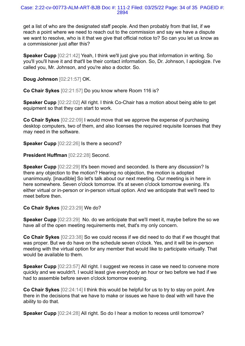get a list of who are the designated staff people. And then probably from that list, if we reach a point where we need to reach out to the commission and say we have a dispute we want to resolve, who is it that we give that official notice to? So can you let us know as a commissioner just after this?

**Speaker Cupp** [02:21:42] Yeah, I think we'll just give you that information in writing. So you'll you'll have it and that'll be their contact information. So, Dr. Johnson, I apologize. I've called you, Mr. Johnson, and you're also a doctor. So.

**Doug Johnson** [02:21:57] OK.

**Co Chair Sykes** [02:21:57] Do you know where Room 116 is?

**Speaker Cupp** [02:22:02] All right. I think Co-Chair has a motion about being able to get equipment so that they can start to work.

**Co Chair Sykes** [02:22:09] I would move that we approve the expense of purchasing desktop computers, two of them, and also licenses the required requisite licenses that they may need in the software.

**Speaker Cupp** [02:22:26] Is there a second?

**President Huffman** [02:22:28] Second.

**Speaker Cupp** [02:22:29] It's been moved and seconded. Is there any discussion? Is there any objection to the motion? Hearing no objection, the motion is adopted unanimously. [inaudible] So let's talk about our next meeting. Our meeting is in here in here somewhere. Seven o'clock tomorrow. It's at seven o'clock tomorrow evening. It's either virtual or in-person or in-person virtual option. And we anticipate that we'll need to meet before then.

**Co Chair Sykes** [02:23:29] We do?

**Speaker Cupp** [02:23:29] No. do we anticipate that we'll meet it, maybe before the so we have all of the open meeting requirements met, that's my only concern.

**Co Chair Sykes** [02:23:38] So we could recess if we did need to do that if we thought that was proper. But we do have on the schedule seven o'clock. Yes, and it will be in-person meeting with the virtual option for any member that would like to participate virtually. That would be available to them.

**Speaker Cupp** [02:23:57] All right. I suggest we recess in case we need to convene more quickly and we wouldn't. I would least give everybody an hour or two before we had if we had to assemble before seven o'clock tomorrow evening.

**Co Chair Sykes** [02:24:14] I think this would be helpful for us to try to stay on point. Are there in the decisions that we have to make or issues we have to deal with will have the ability to do that.

**Speaker Cupp** [02:24:28] All right. So do I hear a motion to recess until tomorrow?